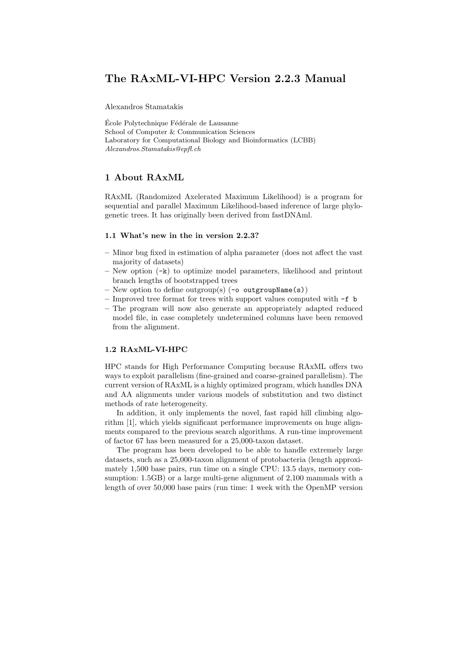# The RAxML-VI-HPC Version 2.2.3 Manual

Alexandros Stamatakis

École Polytechnique Fédérale de Lausanne School of Computer & Communication Sciences Laboratory for Computational Biology and Bioinformatics (LCBB) Alexandros.Stamatakis@epfl.ch

# 1 About RAxML

RAxML (Randomized Axelerated Maximum Likelihood) is a program for sequential and parallel Maximum Likelihood-based inference of large phylogenetic trees. It has originally been derived from fastDNAml.

#### 1.1 What's new in the in version 2.2.3?

- Minor bug fixed in estimation of alpha parameter (does not affect the vast majority of datasets)
- New option (-k) to optimize model parameters, likelihood and printout branch lengths of bootstrapped trees
- New option to define outgroup(s)  $(-\circ$  outgroupName(s))
- Improved tree format for trees with support values computed with -f b
- The program will now also generate an appropriately adapted reduced model file, in case completely undetermined columns have been removed from the alignment.

# 1.2 RAxML-VI-HPC

HPC stands for High Performance Computing because RAxML offers two ways to exploit parallelism (fine-grained and coarse-grained parallelism). The current version of RAxML is a highly optimized program, which handles DNA and AA alignments under various models of substitution and two distinct methods of rate heterogeneity.

In addition, it only implements the novel, fast rapid hill climbing algorithm [1], which yields significant performance improvements on huge alignments compared to the previous search algorithms. A run-time improvement of factor 67 has been measured for a 25,000-taxon dataset.

The program has been developed to be able to handle extremely large datasets, such as a 25,000-taxon alignment of protobacteria (length approximately 1,500 base pairs, run time on a single CPU: 13.5 days, memory consumption: 1.5GB) or a large multi-gene alignment of 2,100 mammals with a length of over 50,000 base pairs (run time: 1 week with the OpenMP version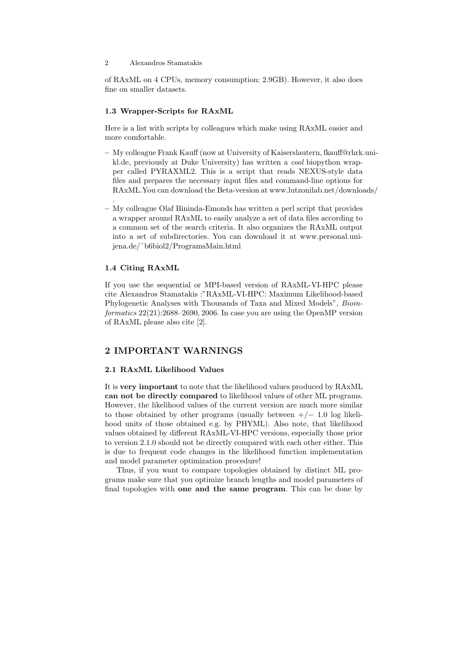of RAxML on 4 CPUs, memory consumption: 2.9GB). However, it also does fine on smaller datasets.

#### 1.3 Wrapper-Scripts for RAxML

Here is a list with scripts by colleagues which make using RAxML easier and more comfortable.

- My colleague Frank Kauff (now at University of Kaiserslautern, fkauff@rhrk.unikl.de, previously at Duke University) has written a cool biopython wrapper called PYRAXML2. This is a script that reads NEXUS-style data files and prepares the necessary input files and command-line options for RAxML.You can download the Beta-version at www.lutzonilab.net/downloads/
- My colleague Olaf Bininda-Emonds has written a perl script that provides a wrapper around RAxML to easily analyze a set of data files according to a common set of the search criteria. It also organizes the RAxML output into a set of subdirectories. You can download it at www.personal.unijena.de/˜b6biol2/ProgramsMain.html

#### 1.4 Citing RAxML

.

If you use the sequential or MPI-based version of RAxML-VI-HPC please cite Alexandros Stamatakis :"RAxML-VI-HPC: Maximum Likelihood-based Phylogenetic Analyses with Thousands of Taxa and Mixed Models", Bioinformatics 22(21):2688–2690, 2006. In case you are using the OpenMP version of RAxML please also cite [2].

# 2 IMPORTANT WARNINGS

# 2.1 RAxML Likelihood Values

It is very important to note that the likelihood values produced by RAxML can not be directly compared to likelihood values of other ML programs. However, the likelihood values of the current version are much more similar to those obtained by other programs (usually between  $+/- 1.0$  log likelihood units of those obtained e.g. by PHYML). Also note, that likelihood values obtained by different RAxML-VI-HPC versions, especially those prior to version 2.1.0 should not be directly compared with each other either. This is due to frequent code changes in the likelihood function implementation and model parameter optimization procedure!

Thus, if you want to compare topologies obtained by distinct ML programs make sure that you optimize branch lengths and model parameters of final topologies with one and the same program. This can be done by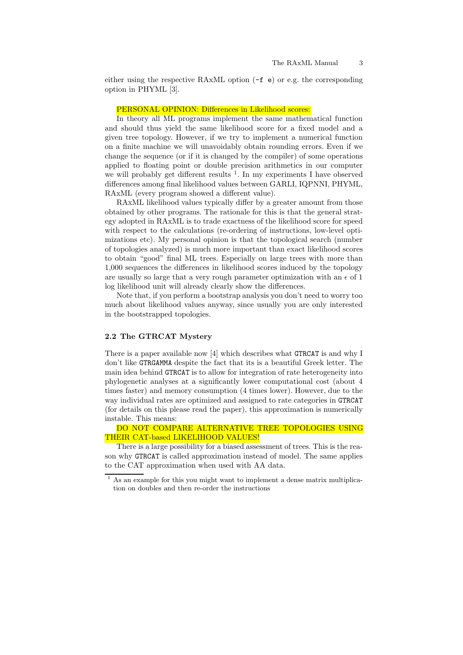either using the respective RAxML option (-f e) or e.g. the corresponding option in PHYML [3].

# PERSONAL OPINION: Differences in Likelihood scores:

In theory all ML programs implement the same mathematical function and should thus yield the same likelihood score for a fixed model and a given tree topology. However, if we try to implement a numerical function on a finite machine we will unavoidably obtain rounding errors. Even if we change the sequence (or if it is changed by the compiler) of some operations applied to floating point or double precision arithmetics in our computer we will probably get different results <sup>1</sup>. In my experiments I have observed differences among final likelihood values between GARLI, IQPNNI, PHYML, RAxML (every program showed a different value).

RAxML likelihood values typically differ by a greater amount from those obtained by other programs. The rationale for this is that the general strategy adopted in RAxML is to trade exactness of the likelihood score for speed with respect to the calculations (re-ordering of instructions, low-level optimizations etc). My personal opinion is that the topological search (number of topologies analyzed) is much more important than exact likelihood scores to obtain "good" final ML trees. Especially on large trees with more than 1,000 sequences the differences in likelihood scores induced by the topology are usually so large that a very rough parameter optimization with an  $\epsilon$  of 1 log likelihood unit will already clearly show the differences.

Note that, if you perform a bootstrap analysis you don't need to worry too much about likelihood values anyway, since usually you are only interested in the bootstrapped topologies.

#### 2.2 The GTRCAT Mystery

There is a paper available now [4] which describes what GTRCAT is and why I don't like GTRGAMMA despite the fact that its is a beautiful Greek letter. The main idea behind GTRCAT is to allow for integration of rate heterogeneity into phylogenetic analyses at a significantly lower computational cost (about 4 times faster) and memory consumption (4 times lower). However, due to the way individual rates are optimized and assigned to rate categories in GTRCAT (for details on this please read the paper), this approximation is numerically instable. This means:

### DO NOT COMPARE ALTERNATIVE TREE TOPOLOGIES USING THEIR CAT-based LIKELIHOOD VALUES!

There is a large possibility for a biased assessment of trees. This is the reason why GTRCAT is called approximation instead of model. The same applies to the CAT approximation when used with AA data.

As an example for this you might want to implement a dense matrix multiplication on doubles and then re-order the instructions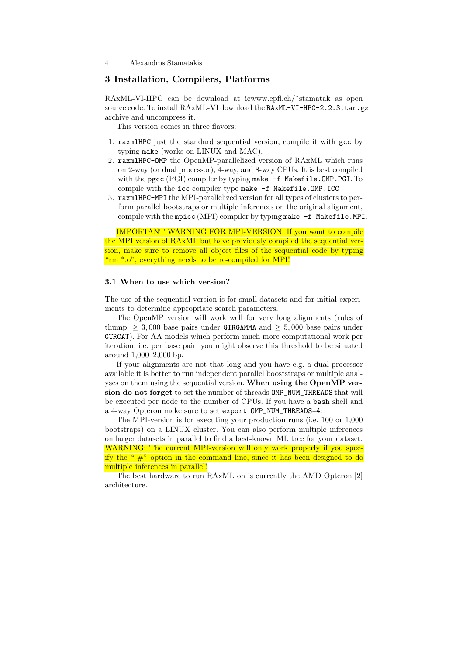# 3 Installation, Compilers, Platforms

RAxML-VI-HPC can be download at icwww.epfl.ch/ $\tilde{\ }$ stamatak as open source code. To install RAxML-VI download the RAxML-VI-HPC-2.2.3.tar.gz archive and uncompress it.

This version comes in three flavors:

- 1. raxmlHPC just the standard sequential version, compile it with gcc by typing make (works on LINUX and MAC).
- 2. raxmlHPC-OMP the OpenMP-parallelized version of RAxML which runs on 2-way (or dual processor), 4-way, and 8-way CPUs. It is best compiled with the pgcc (PGI) compiler by typing make -f Makefile.OMP.PGI. To compile with the icc compiler type make -f Makefile.OMP.ICC
- 3. raxmlHPC-MPI the MPI-parallelized version for all types of clusters to perform parallel bootstraps or multiple inferences on the original alignment, compile with the mpicc (MPI) compiler by typing make -f Makefile.MPI.

IMPORTANT WARNING FOR MPI-VERSION: If you want to compile the MPI version of RAxML but have previously compiled the sequential version, make sure to remove all object files of the sequential code by typing "rm \*.o", everything needs to be re-compiled for MPI!

#### 3.1 When to use which version?

The use of the sequential version is for small datasets and for initial experiments to determine appropriate search parameters.

The OpenMP version will work well for very long alignments (rules of thump:  $> 3,000$  base pairs under GTRGAMMA and  $> 5,000$  base pairs under GTRCAT). For AA models which perform much more computational work per iteration, i.e. per base pair, you might observe this threshold to be situated around 1,000–2,000 bp.

If your alignments are not that long and you have e.g. a dual-processor available it is better to run independent parallel booststraps or multiple analyses on them using the sequential version. When using the OpenMP version do not forget to set the number of threads OMP\_NUM\_THREADS that will be executed per node to the number of CPUs. If you have a bash shell and a 4-way Opteron make sure to set export OMP\_NUM\_THREADS=4.

The MPI-version is for executing your production runs (i.e. 100 or 1,000 bootstraps) on a LINUX cluster. You can also perform multiple inferences on larger datasets in parallel to find a best-known ML tree for your dataset. WARNING: The current MPI-version will only work properly if you specify the " $\#$ " option in the command line, since it has been designed to do multiple inferences in parallel!

The best hardware to run RAxML on is currently the AMD Opteron [2] architecture.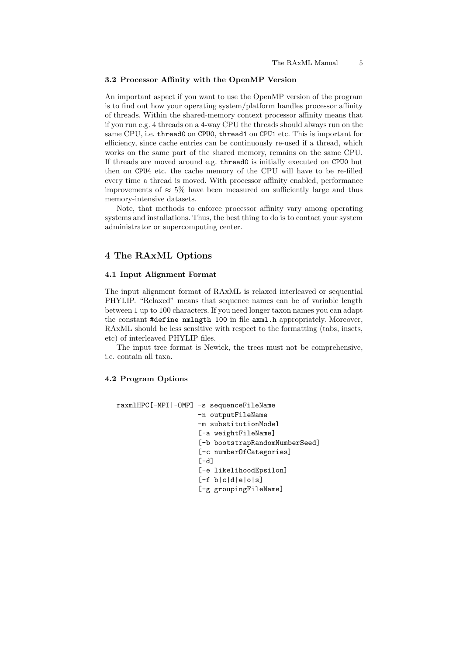#### 3.2 Processor Affinity with the OpenMP Version

An important aspect if you want to use the OpenMP version of the program is to find out how your operating system/platform handles processor affinity of threads. Within the shared-memory context processor affinity means that if you run e.g. 4 threads on a 4-way CPU the threads should always run on the same CPU, i.e. thread0 on CPU0, thread1 on CPU1 etc. This is important for efficiency, since cache entries can be continuously re-used if a thread, which works on the same part of the shared memory, remains on the same CPU. If threads are moved around e.g. thread0 is initially executed on CPU0 but then on CPU4 etc. the cache memory of the CPU will have to be re-filled every time a thread is moved. With processor affinity enabled, performance improvements of  $\approx 5\%$  have been measured on sufficiently large and thus memory-intensive datasets.

Note, that methods to enforce processor affinity vary among operating systems and installations. Thus, the best thing to do is to contact your system administrator or supercomputing center.

# 4 The RAxML Options

#### 4.1 Input Alignment Format

The input alignment format of RAxML is relaxed interleaved or sequential PHYLIP. "Relaxed" means that sequence names can be of variable length between 1 up to 100 characters. If you need longer taxon names you can adapt the constant #define nmlngth 100 in file axml.h appropriately. Moreover, RAxML should be less sensitive with respect to the formatting (tabs, insets, etc) of interleaved PHYLIP files.

The input tree format is Newick, the trees must not be comprehensive, i.e. contain all taxa.

# 4.2 Program Options

```
raxmlHPC[-MPI|-OMP] -s sequenceFileName
                    -n outputFileName
                    -m substitutionModel
                    [-a weightFileName]
                    [-b bootstrapRandomNumberSeed]
                    [-c numberOfCategories]
                    [-d][-e likelihoodEpsilon]
                    [-f b|c|d|e|o|s]
                    [-g groupingFileName]
```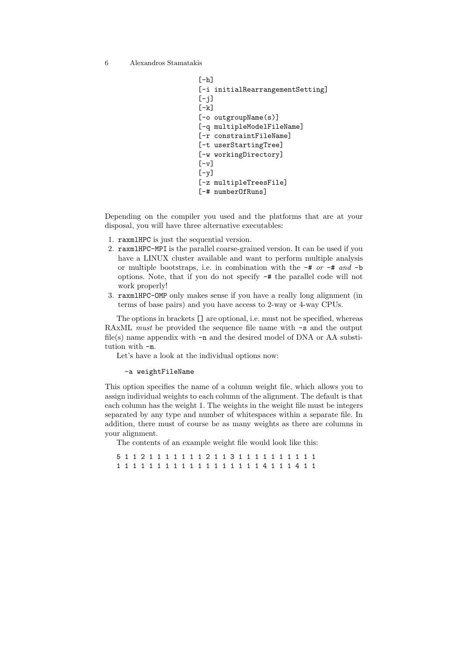```
[-h][-i initialRearrangementSetting]
[-i][-k][-o outgroupName(s)]
[-q multipleModelFileName]
[-r constraintFileName]
[-t userStartingTree]
[-w workingDirectory]
[-v][-y][-z multipleTreesFile]
[-# numberOfRuns]
```
Depending on the compiler you used and the platforms that are at your disposal, you will have three alternative executables:

- 1. raxmlHPC is just the sequential version.
- 2. raxmlHPC-MPI is the parallel coarse-grained version. It can be used if you have a LINUX cluster available and want to perform multiple analysis or multiple bootstraps, i.e. in combination with the  $-\#$  or  $-\#$  and  $-\mathbf{b}$ options. Note, that if you do not specify -# the parallel code will not work properly!
- 3. raxmlHPC-OMP only makes sense if you have a really long alignment (in terms of base pairs) and you have access to 2-way or 4-way CPUs.

The options in brackets [] are optional, i.e. must not be specified, whereas RAxML must be provided the sequence file name with  $-\mathbf{s}$  and the output file(s) name appendix with  $-n$  and the desired model of DNA or AA substitution with -m.

Let's have a look at the individual options now:

-a weightFileName

This option specifies the name of a column weight file, which allows you to assign individual weights to each column of the alignment. The default is that each column has the weight 1. The weights in the weight file must be integers separated by any type and number of whitespaces within a separate file. In addition, there must of course be as many weights as there are columns in your alignment.

The contents of an example weight file would look like this:

5 1 1 2 1 1 1 1 1 1 1 2 1 1 3 1 1 1 1 1 1 1 1 1 1 1 1 1 1 1 1 1 1 1 1 1 1 1 1 1 1 1 4 1 1 1 4 1 1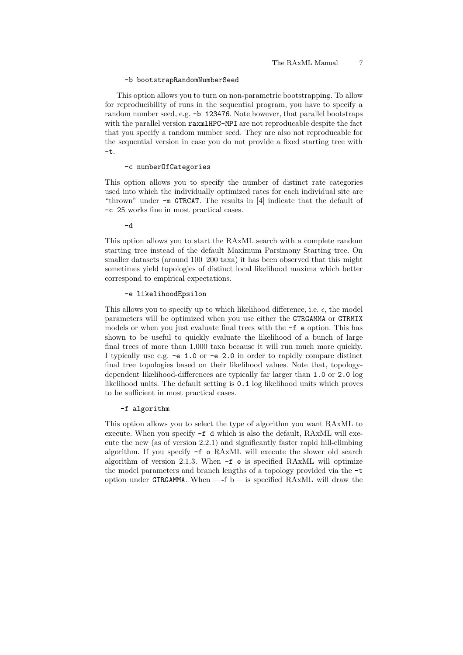#### -b bootstrapRandomNumberSeed

This option allows you to turn on non-parametric bootstrapping. To allow for reproducibility of runs in the sequential program, you have to specify a random number seed, e.g. -b 123476. Note however, that parallel bootstraps with the parallel version raxmlHPC-MPI are not reproducable despite the fact that you specify a random number seed. They are also not reproducable for the sequential version in case you do not provide a fixed starting tree with -t.

#### -c numberOfCategories

This option allows you to specify the number of distinct rate categories used into which the individually optimized rates for each individual site are "thrown" under -m GTRCAT. The results in [4] indicate that the default of -c 25 works fine in most practical cases.

-d

This option allows you to start the RAxML search with a complete random starting tree instead of the default Maximum Parsimony Starting tree. On smaller datasets (around 100–200 taxa) it has been observed that this might sometimes yield topologies of distinct local likelihood maxima which better correspond to empirical expectations.

#### -e likelihoodEpsilon

This allows you to specify up to which likelihood difference, i.e.  $\epsilon$ , the model parameters will be optimized when you use either the GTRGAMMA or GTRMIX models or when you just evaluate final trees with the -f e option. This has shown to be useful to quickly evaluate the likelihood of a bunch of large final trees of more than 1,000 taxa because it will run much more quickly. I typically use e.g. -e 1.0 or -e 2.0 in order to rapidly compare distinct final tree topologies based on their likelihood values. Note that, topologydependent likelihood-differences are typically far larger than 1.0 or 2.0 log likelihood units. The default setting is 0.1 log likelihood units which proves to be sufficient in most practical cases.

#### -f algorithm

This option allows you to select the type of algorithm you want RAxML to execute. When you specify -f d which is also the default, RAxML will execute the new (as of version 2.2.1) and significantly faster rapid hill-climbing algorithm. If you specify -f o RAxML will execute the slower old search algorithm of version 2.1.3. When -f e is specified RAxML will optimize the model parameters and branch lengths of a topology provided via the -t option under GTRGAMMA. When —-f b— is specified RAxML will draw the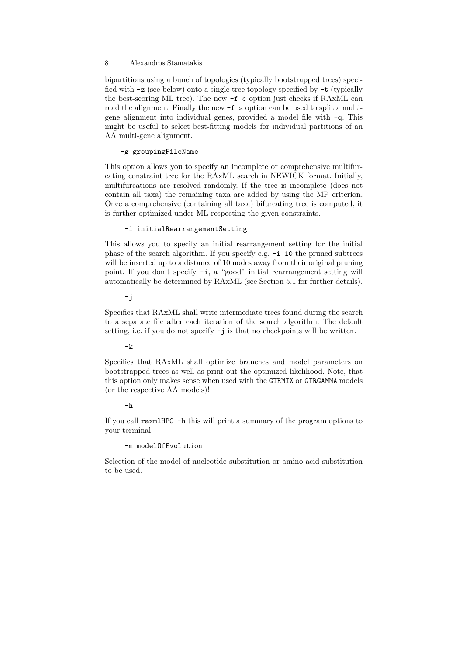bipartitions using a bunch of topologies (typically bootstrapped trees) specified with -z (see below) onto a single tree topology specified by -t (typically the best-scoring ML tree). The new -f c option just checks if RAxML can read the alignment. Finally the new -f s option can be used to split a multigene alignment into individual genes, provided a model file with -q. This might be useful to select best-fitting models for individual partitions of an AA multi-gene alignment.

# -g groupingFileName

This option allows you to specify an incomplete or comprehensive multifurcating constraint tree for the RAxML search in NEWICK format. Initially, multifurcations are resolved randomly. If the tree is incomplete (does not contain all taxa) the remaining taxa are added by using the MP criterion. Once a comprehensive (containing all taxa) bifurcating tree is computed, it is further optimized under ML respecting the given constraints.

### -i initialRearrangementSetting

This allows you to specify an initial rearrangement setting for the initial phase of the search algorithm. If you specify e.g. -i 10 the pruned subtrees will be inserted up to a distance of 10 nodes away from their original pruning point. If you don't specify -i, a "good" initial rearrangement setting will automatically be determined by RAxML (see Section 5.1 for further details).

-j

Specifies that RAxML shall write intermediate trees found during the search to a separate file after each iteration of the search algorithm. The default setting, i.e. if you do not specify -j is that no checkpoints will be written.

 $-k$ 

Specifies that RAxML shall optimize branches and model parameters on bootstrapped trees as well as print out the optimized likelihood. Note, that this option only makes sense when used with the GTRMIX or GTRGAMMA models (or the respective AA models)!

#### -h

If you call raxmlHPC -h this will print a summary of the program options to your terminal.

# -m modelOfEvolution

Selection of the model of nucleotide substitution or amino acid substitution to be used.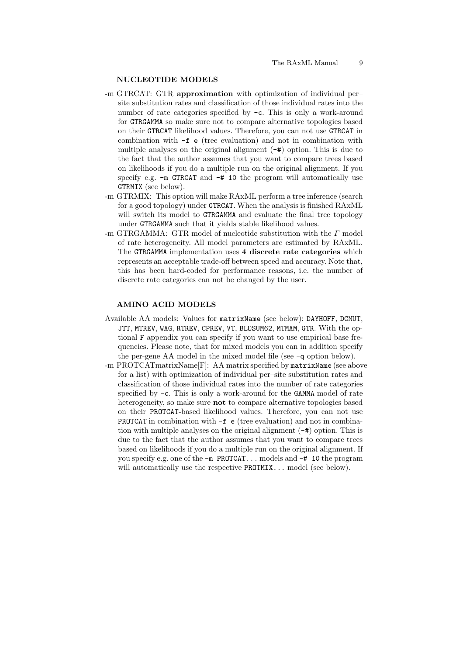#### NUCLEOTIDE MODELS

- -m GTRCAT: GTR approximation with optimization of individual per– site substitution rates and classification of those individual rates into the number of rate categories specified by -c. This is only a work-around for GTRGAMMA so make sure not to compare alternative topologies based on their GTRCAT likelihood values. Therefore, you can not use GTRCAT in combination with -f e (tree evaluation) and not in combination with multiple analyses on the original alignment  $(-\#)$  option. This is due to the fact that the author assumes that you want to compare trees based on likelihoods if you do a multiple run on the original alignment. If you specify e.g.  $-m$  GTRCAT and  $-#$  10 the program will automatically use GTRMIX (see below).
- -m GTRMIX: This option will make RAxML perform a tree inference (search for a good topology) under GTRCAT. When the analysis is finished RAxML will switch its model to GTRGAMMA and evaluate the final tree topology under GTRGAMMA such that it yields stable likelihood values.
- $-$ m GTRGAMMA: GTR model of nucleotide substitution with the  $\Gamma$  model of rate heterogeneity. All model parameters are estimated by RAxML. The GTRGAMMA implementation uses 4 discrete rate categories which represents an acceptable trade-off between speed and accuracy. Note that, this has been hard-coded for performance reasons, i.e. the number of discrete rate categories can not be changed by the user.

#### AMINO ACID MODELS

- Available AA models: Values for matrixName (see below): DAYHOFF, DCMUT, JTT, MTREV, WAG, RTREV, CPREV, VT, BLOSUM62, MTMAM, GTR. With the optional F appendix you can specify if you want to use empirical base frequencies. Please note, that for mixed models you can in addition specify the per-gene AA model in the mixed model file (see -q option below).
- -m PROTCATmatrixName<sup>[F]</sup>: AA matrix specified by matrixName (see above for a list) with optimization of individual per–site substitution rates and classification of those individual rates into the number of rate categories specified by -c. This is only a work-around for the GAMMA model of rate heterogeneity, so make sure not to compare alternative topologies based on their PROTCAT-based likelihood values. Therefore, you can not use PROTCAT in combination with -f e (tree evaluation) and not in combination with multiple analyses on the original alignment (-#) option. This is due to the fact that the author assumes that you want to compare trees based on likelihoods if you do a multiple run on the original alignment. If you specify e.g. one of the -m PROTCAT... models and -# 10 the program will automatically use the respective **PROTMIX...** model (see below).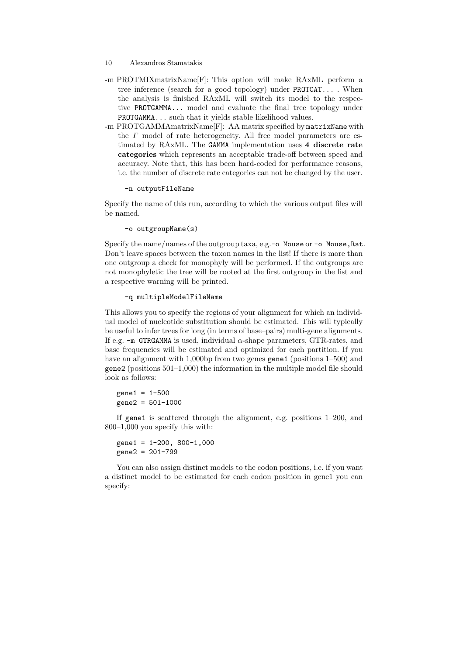- 10 Alexandros Stamatakis
- -m PROTMIXmatrixName[F]: This option will make RAxML perform a tree inference (search for a good topology) under PROTCAT... . When the analysis is finished RAxML will switch its model to the respective PROTGAMMA... model and evaluate the final tree topology under PROTGAMMA... such that it yields stable likelihood values.
- -m PROTGAMMAmatrixName[F]: AA matrix specified by matrixName with the Γ model of rate heterogeneity. All free model parameters are estimated by RAxML. The GAMMA implementation uses 4 discrete rate categories which represents an acceptable trade-off between speed and accuracy. Note that, this has been hard-coded for performance reasons, i.e. the number of discrete rate categories can not be changed by the user.

-n outputFileName

Specify the name of this run, according to which the various output files will be named.

-o outgroupName(s)

Specify the name/names of the outgroup taxa, e.g.-o Mouse or -o Mouse, Rat. Don't leave spaces between the taxon names in the list! If there is more than one outgroup a check for monophyly will be performed. If the outgroups are not monophyletic the tree will be rooted at the first outgroup in the list and a respective warning will be printed.

-q multipleModelFileName

This allows you to specify the regions of your alignment for which an individual model of nucleotide substitution should be estimated. This will typically be useful to infer trees for long (in terms of base–pairs) multi-gene alignments. If e.g.  $-m$  GTRGAMMA is used, individual  $\alpha$ -shape parameters, GTR-rates, and base frequencies will be estimated and optimized for each partition. If you have an alignment with 1,000bp from two genes gene1 (positions 1–500) and gene2 (positions 501–1,000) the information in the multiple model file should look as follows:

 $gene1 =  $1 - 500$$ gene2 = 501-1000

If gene1 is scattered through the alignment, e.g. positions 1–200, and 800–1,000 you specify this with:

 $gene1 = 1-200, 800-1,000$ gene2 = 201-799

You can also assign distinct models to the codon positions, i.e. if you want a distinct model to be estimated for each codon position in gene1 you can specify: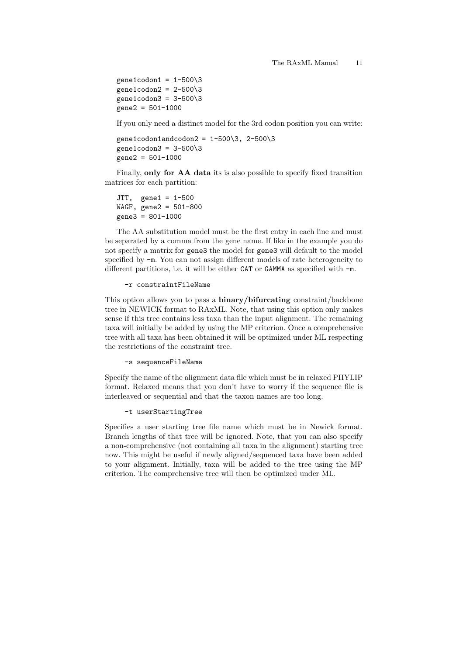gene1codon1 =  $1-500\overline{3}$ gene1codon2 =  $2-500\overline{3}$ gene1codon3 =  $3-500\overline{3}$ gene2 = 501-1000

If you only need a distinct model for the 3rd codon position you can write:

gene1codon1andcodon2 =  $1-500\overline{3}$ , 2-500 $\overline{3}$ gene1codon3 =  $3-500\overline{3}$  $gene2 = 501-1000$ 

Finally, only for AA data its is also possible to specify fixed transition matrices for each partition:

JTT, gene1 = 1-500 WAGF, gene2 = 501-800 gene3 = 801-1000

The AA substitution model must be the first entry in each line and must be separated by a comma from the gene name. If like in the example you do not specify a matrix for gene3 the model for gene3 will default to the model specified by -m. You can not assign different models of rate heterogeneity to different partitions, i.e. it will be either CAT or GAMMA as specified with -m.

#### -r constraintFileName

This option allows you to pass a binary/bifurcating constraint/backbone tree in NEWICK format to RAxML. Note, that using this option only makes sense if this tree contains less taxa than the input alignment. The remaining taxa will initially be added by using the MP criterion. Once a comprehensive tree with all taxa has been obtained it will be optimized under ML respecting the restrictions of the constraint tree.

-s sequenceFileName

Specify the name of the alignment data file which must be in relaxed PHYLIP format. Relaxed means that you don't have to worry if the sequence file is interleaved or sequential and that the taxon names are too long.

-t userStartingTree

Specifies a user starting tree file name which must be in Newick format. Branch lengths of that tree will be ignored. Note, that you can also specify a non-comprehensive (not containing all taxa in the alignment) starting tree now. This might be useful if newly aligned/sequenced taxa have been added to your alignment. Initially, taxa will be added to the tree using the MP criterion. The comprehensive tree will then be optimized under ML.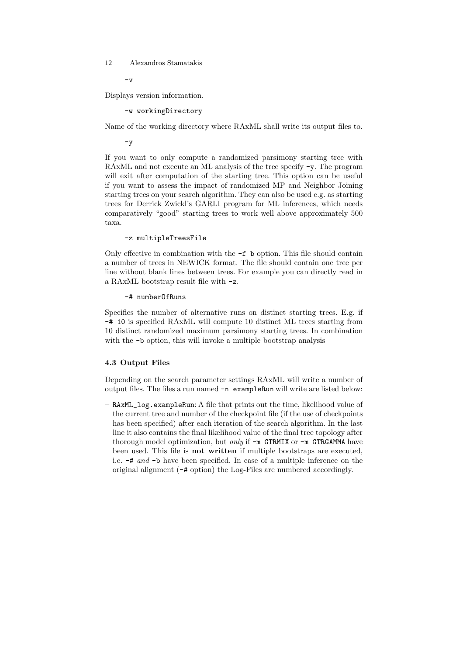$-r<sub>z</sub>$ 

Displays version information.

-w workingDirectory

Name of the working directory where RAxML shall write its output files to.

-y

If you want to only compute a randomized parsimony starting tree with RAxML and not execute an ML analysis of the tree specify -y. The program will exit after computation of the starting tree. This option can be useful if you want to assess the impact of randomized MP and Neighbor Joining starting trees on your search algorithm. They can also be used e.g. as starting trees for Derrick Zwickl's GARLI program for ML inferences, which needs comparatively "good" starting trees to work well above approximately 500 taxa.

```
-z multipleTreesFile
```
Only effective in combination with the -f b option. This file should contain a number of trees in NEWICK format. The file should contain one tree per line without blank lines between trees. For example you can directly read in a RAxML bootstrap result file with -z.

-# numberOfRuns

Specifies the number of alternative runs on distinct starting trees. E.g. if -# 10 is specified RAxML will compute 10 distinct ML trees starting from 10 distinct randomized maximum parsimony starting trees. In combination with the  $\neg$ b option, this will invoke a multiple bootstrap analysis

# 4.3 Output Files

Depending on the search parameter settings RAxML will write a number of output files. The files a run named -n exampleRun will write are listed below:

– RAxML\_log.exampleRun: A file that prints out the time, likelihood value of the current tree and number of the checkpoint file (if the use of checkpoints has been specified) after each iteration of the search algorithm. In the last line it also contains the final likelihood value of the final tree topology after thorough model optimization, but only if  $-m$  GTRMIX or  $-m$  GTRGAMMA have been used. This file is not written if multiple bootstraps are executed, i.e. -# and -b have been specified. In case of a multiple inference on the original alignment (-# option) the Log-Files are numbered accordingly.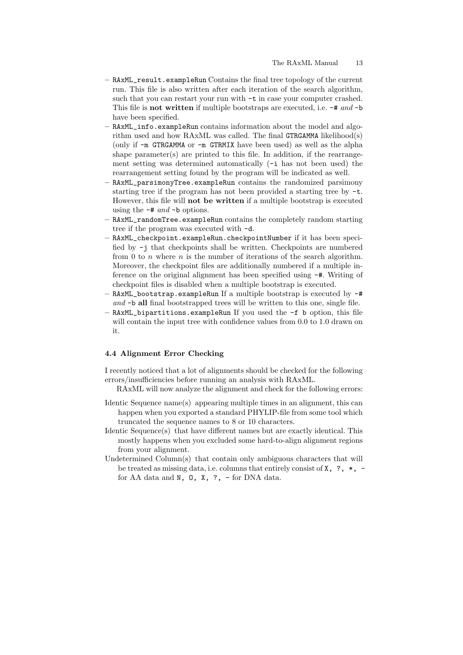- RAxML\_result.exampleRun Contains the final tree topology of the current run. This file is also written after each iteration of the search algorithm, such that you can restart your run with -t in case your computer crashed. This file is **not written** if multiple bootstraps are executed, i.e.  $-\#$  and  $-\mathbf{b}$ have been specified.
- RAxML\_info.exampleRun contains information about the model and algorithm used and how RAxML was called. The final GTRGAMMA likelihood(s) (only if -m GTRGAMMA or -m GTRMIX have been used) as well as the alpha shape parameter(s) are printed to this file. In addition, if the rearrangement setting was determined automatically (-i has not been used) the rearrangement setting found by the program will be indicated as well.
- RAxML\_parsimonyTree.exampleRun contains the randomized parsimony starting tree if the program has not been provided a starting tree by -t. However, this file will not be written if a multiple bootstrap is executed using the  $-\#$  and  $-\mathbf{b}$  options.
- RAxML\_randomTree.exampleRun contains the completely random starting tree if the program was executed with -d.
- RAxML\_checkpoint.exampleRun.checkpointNumber if it has been specified by -j that checkpoints shall be written. Checkpoints are numbered from 0 to n where  $n$  is the number of iterations of the search algorithm. Moreover, the checkpoint files are additionally numbered if a multiple inference on the original alignment has been specified using -#. Writing of checkpoint files is disabled when a multiple bootstrap is executed.
- RAxML\_bootstrap.exampleRun If a multiple bootstrap is executed by -# and  $\neg$  all final bootstrapped trees will be written to this one, single file.
- RAxML\_bipartitions.exampleRun If you used the -f b option, this file will contain the input tree with confidence values from 0.0 to 1.0 drawn on it.

### 4.4 Alignment Error Checking

I recently noticed that a lot of alignments should be checked for the following errors/insufficiencies before running an analysis with RAxML.

- RAxML will now analyze the alignment and check for the following errors:
- Identic Sequence name(s) appearing multiple times in an alignment, this can happen when you exported a standard PHYLIP-file from some tool which truncated the sequence names to 8 or 10 characters.
- Identic Sequence(s) that have different names but are exactly identical. This mostly happens when you excluded some hard-to-align alignment regions from your alignment.
- Undetermined Column(s) that contain only ambiguous characters that will be treated as missing data, i.e. columns that entirely consist of  $X$ ,  $\rightarrow$ ,  $\rightarrow$ ,  $\rightarrow$ for AA data and N, O, X, ?, - for DNA data.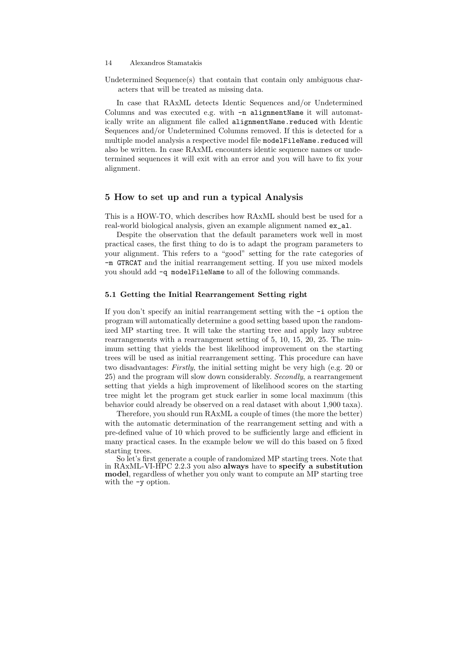Undetermined Sequence(s) that contain that contain only ambiguous characters that will be treated as missing data.

In case that RAxML detects Identic Sequences and/or Undetermined Columns and was executed e.g. with -n alignmentName it will automatically write an alignment file called alignmentName.reduced with Identic Sequences and/or Undetermined Columns removed. If this is detected for a multiple model analysis a respective model file modelFileName.reduced will also be written. In case RAxML encounters identic sequence names or undetermined sequences it will exit with an error and you will have to fix your alignment.

### 5 How to set up and run a typical Analysis

This is a HOW-TO, which describes how RAxML should best be used for a real-world biological analysis, given an example alignment named ex\_al.

Despite the observation that the default parameters work well in most practical cases, the first thing to do is to adapt the program parameters to your alignment. This refers to a "good" setting for the rate categories of -m GTRCAT and the initial rearrangement setting. If you use mixed models you should add -q modelFileName to all of the following commands.

#### 5.1 Getting the Initial Rearrangement Setting right

If you don't specify an initial rearrangement setting with the -i option the program will automatically determine a good setting based upon the randomized MP starting tree. It will take the starting tree and apply lazy subtree rearrangements with a rearrangement setting of 5, 10, 15, 20, 25. The minimum setting that yields the best likelihood improvement on the starting trees will be used as initial rearrangement setting. This procedure can have two disadvantages: Firstly, the initial setting might be very high (e.g. 20 or 25) and the program will slow down considerably. Secondly, a rearrangement setting that yields a high improvement of likelihood scores on the starting tree might let the program get stuck earlier in some local maximum (this behavior could already be observed on a real dataset with about 1,900 taxa).

Therefore, you should run RAxML a couple of times (the more the better) with the automatic determination of the rearrangement setting and with a pre-defined value of 10 which proved to be sufficiently large and efficient in many practical cases. In the example below we will do this based on 5 fixed starting trees.

So let's first generate a couple of randomized MP starting trees. Note that in RAxML-VI-HPC 2.2.3 you also always have to specify a substitution model, regardless of whether you only want to compute an MP starting tree with the -y option.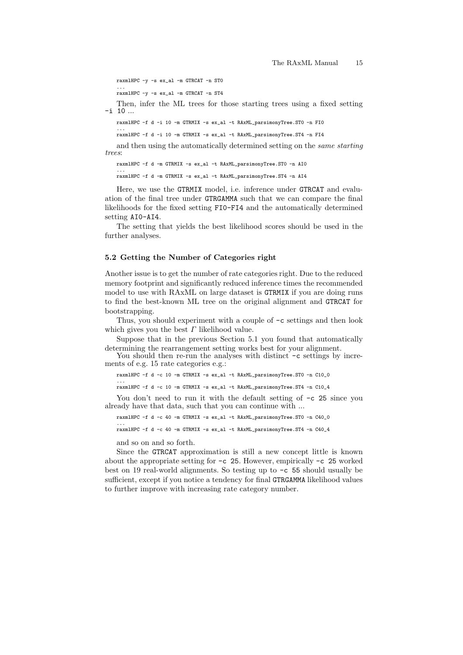raxmlHPC -y -s ex\_al -m GTRCAT -n ST0

... raxmlHPC -y -s ex\_al -m GTRCAT -n ST4

Then, infer the ML trees for those starting trees using a fixed setting -i 10 ...

raxmlHPC -f d -i 10 -m GTRMIX -s ex\_al -t RAxML\_parsimonyTree.ST0 -n FI0 ...

raxmlHPC -f d -i 10 -m GTRMIX -s ex\_al -t RAxML\_parsimonyTree.ST4 -n FI4

and then using the automatically determined setting on the same starting trees:

raxmlHPC -f d -m GTRMIX -s ex\_al -t RAxML\_parsimonyTree.ST0 -n AI0

... raxmlHPC -f d -m GTRMIX -s ex\_al -t RAxML\_parsimonyTree.ST4 -n AI4

Here, we use the GTRMIX model, i.e. inference under GTRCAT and evaluation of the final tree under GTRGAMMA such that we can compare the final likelihoods for the fixed setting FI0-FI4 and the automatically determined setting AI0-AI4.

The setting that yields the best likelihood scores should be used in the further analyses.

#### 5.2 Getting the Number of Categories right

Another issue is to get the number of rate categories right. Due to the reduced memory footprint and significantly reduced inference times the recommended model to use with RAxML on large dataset is GTRMIX if you are doing runs to find the best-known ML tree on the original alignment and GTRCAT for bootstrapping.

Thus, you should experiment with a couple of -c settings and then look which gives you the best  $\Gamma$  likelihood value.

Suppose that in the previous Section 5.1 you found that automatically determining the rearrangement setting works best for your alignment.

You should then re-run the analyses with distinct  $-c$  settings by increments of e.g. 15 rate categories e.g.:

raxmlHPC -f d -c 10 -m GTRMIX -s ex\_al -t RAxML\_parsimonyTree.ST0 -n C10\_0

... raxmlHPC -f d -c 10 -m GTRMIX -s ex\_al -t RAxML\_parsimonyTree.ST4 -n C10\_4

You don't need to run it with the default setting of  $-c$  25 since you already have that data, such that you can continue with ...

raxmlHPC -f d -c 40 -m GTRMIX -s ex\_al -t RAxML\_parsimonyTree.ST0 -n C40\_0 ...

raxmlHPC -f d -c 40 -m GTRMIX -s ex\_al -t RAxML\_parsimonyTree.ST4 -n C40\_4

and so on and so forth.

Since the GTRCAT approximation is still a new concept little is known about the appropriate setting for -c 25. However, empirically -c 25 worked best on 19 real-world alignments. So testing up to -c 55 should usually be sufficient, except if you notice a tendency for final GTRGAMMA likelihood values to further improve with increasing rate category number.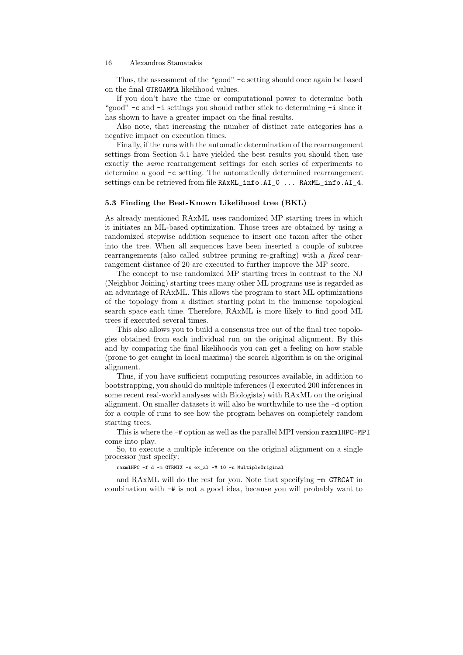Thus, the assessment of the "good" -c setting should once again be based on the final GTRGAMMA likelihood values.

If you don't have the time or computational power to determine both "good" -c and -i settings you should rather stick to determining -i since it has shown to have a greater impact on the final results.

Also note, that increasing the number of distinct rate categories has a negative impact on execution times.

Finally, if the runs with the automatic determination of the rearrangement settings from Section 5.1 have yielded the best results you should then use exactly the same rearrangement settings for each series of experiments to determine a good -c setting. The automatically determined rearrangement settings can be retrieved from file RAxML\_info.AI\_0 ... RAxML\_info.AI\_4.

#### 5.3 Finding the Best-Known Likelihood tree (BKL)

As already mentioned RAxML uses randomized MP starting trees in which it initiates an ML-based optimization. Those trees are obtained by using a randomized stepwise addition sequence to insert one taxon after the other into the tree. When all sequences have been inserted a couple of subtree rearrangements (also called subtree pruning re-grafting) with a fixed rearrangement distance of 20 are executed to further improve the MP score.

The concept to use randomized MP starting trees in contrast to the NJ (Neighbor Joining) starting trees many other ML programs use is regarded as an advantage of RAxML. This allows the program to start ML optimizations of the topology from a distinct starting point in the immense topological search space each time. Therefore, RAxML is more likely to find good ML trees if executed several times.

This also allows you to build a consensus tree out of the final tree topologies obtained from each individual run on the original alignment. By this and by comparing the final likelihoods you can get a feeling on how stable (prone to get caught in local maxima) the search algorithm is on the original alignment.

Thus, if you have sufficient computing resources available, in addition to bootstrapping, you should do multiple inferences (I executed 200 inferences in some recent real-world analyses with Biologists) with RAxML on the original alignment. On smaller datasets it will also be worthwhile to use the -d option for a couple of runs to see how the program behaves on completely random starting trees.

This is where the  $-\#$  option as well as the parallel MPI version raxmlHPC-MPI come into play.

So, to execute a multiple inference on the original alignment on a single processor just specify:

raxmlHPC -f d -m GTRMIX -s ex\_al -# 10 -n MultipleOriginal

and RAxML will do the rest for you. Note that specifying -m GTRCAT in combination with -# is not a good idea, because you will probably want to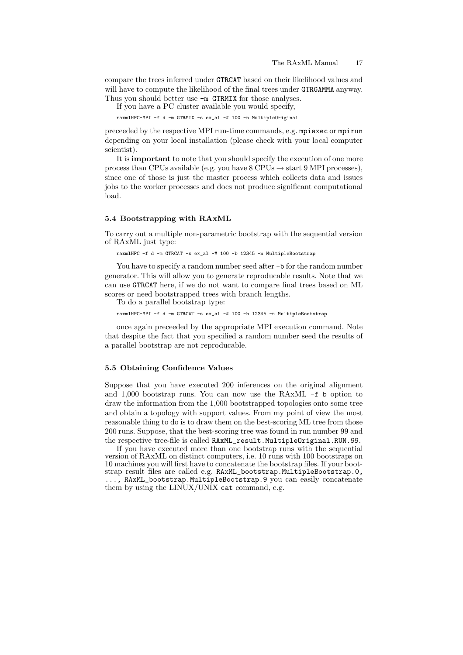compare the trees inferred under GTRCAT based on their likelihood values and will have to compute the likelihood of the final trees under GTRGAMMA anyway. Thus you should better use  $-m$  GTRMIX for those analyses.

If you have a PC cluster available you would specify,

raxmlHPC-MPI -f d -m GTRMIX -s ex\_al -# 100 -n MultipleOriginal

preceeded by the respective MPI run-time commands, e.g. mpiexec or mpirun depending on your local installation (please check with your local computer scientist).

It is important to note that you should specify the execution of one more process than CPUs available (e.g. you have  $8 \text{ CPUs} \rightarrow \text{start } 9 \text{ MPI processes}$ ), since one of those is just the master process which collects data and issues jobs to the worker processes and does not produce significant computational load.

#### 5.4 Bootstrapping with RAxML

To carry out a multiple non-parametric bootstrap with the sequential version of RAxML just type:

raxmlHPC -f d -m GTRCAT -s ex\_al -# 100 -b 12345 -n MultipleBootstrap

You have to specify a random number seed after  $-b$  for the random number generator. This will allow you to generate reproducable results. Note that we can use GTRCAT here, if we do not want to compare final trees based on ML scores or need bootstrapped trees with branch lengths.

To do a parallel bootstrap type:

raxmlHPC-MPI -f d -m GTRCAT -s ex\_al -# 100 -b 12345 -n MultipleBootstrap

once again preceeded by the appropriate MPI execution command. Note that despite the fact that you specified a random number seed the results of a parallel bootstrap are not reproducable.

#### 5.5 Obtaining Confidence Values

Suppose that you have executed 200 inferences on the original alignment and 1,000 bootstrap runs. You can now use the RAxML -f b option to draw the information from the 1,000 bootstrapped topologies onto some tree and obtain a topology with support values. From my point of view the most reasonable thing to do is to draw them on the best-scoring ML tree from those 200 runs. Suppose, that the best-scoring tree was found in run number 99 and the respective tree-file is called RAxML\_result.MultipleOriginal.RUN.99.

If you have executed more than one bootstrap runs with the sequential version of RAxML on distinct computers, i.e. 10 runs with 100 bootstraps on 10 machines you will first have to concatenate the bootstrap files. If your bootstrap result files are called e.g. RAxML\_bootstrap.MultipleBootstrap.0, ..., RAxML\_bootstrap.MultipleBootstrap.9 you can easily concatenate them by using the LINUX/UNIX cat command, e.g.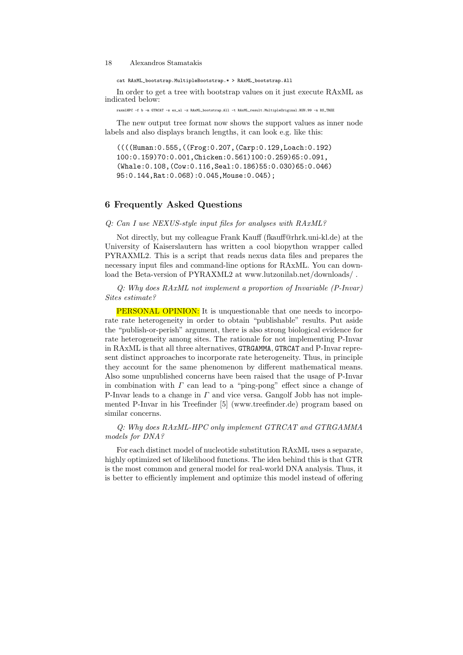cat RAxML\_bootstrap.MultipleBootstrap.\* > RAxML\_bootstrap.All

In order to get a tree with bootstrap values on it just execute RAxML as indicated below:

raxmlHPC -f b -m GTRCAT -s ex\_al -z RAxML\_bootstrap.All -t RAxML\_result.MultipleOriginal.RUN.99 -n BS\_TREE

The new output tree format now shows the support values as inner node labels and also displays branch lengths, it can look e.g. like this:

((((Human:0.555,((Frog:0.207,(Carp:0.129,Loach:0.192) 100:0.159)70:0.001,Chicken:0.561)100:0.259)65:0.091, (Whale:0.108,(Cow:0.116,Seal:0.186)55:0.030)65:0.046) 95:0.144,Rat:0.068):0.045,Mouse:0.045);

# 6 Frequently Asked Questions

#### Q: Can I use NEXUS-style input files for analyses with RAxML?

Not directly, but my colleague Frank Kauff (fkauff@rhrk.uni-kl.de) at the University of Kaiserslautern has written a cool biopython wrapper called PYRAXML2. This is a script that reads nexus data files and prepares the necessary input files and command-line options for RAxML. You can download the Beta-version of PYRAXML2 at www.lutzonilab.net/downloads/.

Q: Why does RAxML not implement a proportion of Invariable (P-Invar) Sites estimate?

PERSONAL OPINION: It is unquestionable that one needs to incorporate rate heterogeneity in order to obtain "publishable" results. Put aside the "publish-or-perish" argument, there is also strong biological evidence for rate heterogeneity among sites. The rationale for not implementing P-Invar in RAxML is that all three alternatives, GTRGAMMA, GTRCAT and P-Invar represent distinct approaches to incorporate rate heterogeneity. Thus, in principle they account for the same phenomenon by different mathematical means. Also some unpublished concerns have been raised that the usage of P-Invar in combination with  $\Gamma$  can lead to a "ping-pong" effect since a change of P-Invar leads to a change in  $\Gamma$  and vice versa. Gangolf Jobb has not implemented P-Invar in his Treefinder [5] (www.treefinder.de) program based on similar concerns.

### Q: Why does RAxML-HPC only implement GTRCAT and GTRGAMMA models for DNA?

For each distinct model of nucleotide substitution RAxML uses a separate, highly optimized set of likelihood functions. The idea behind this is that GTR is the most common and general model for real-world DNA analysis. Thus, it is better to efficiently implement and optimize this model instead of offering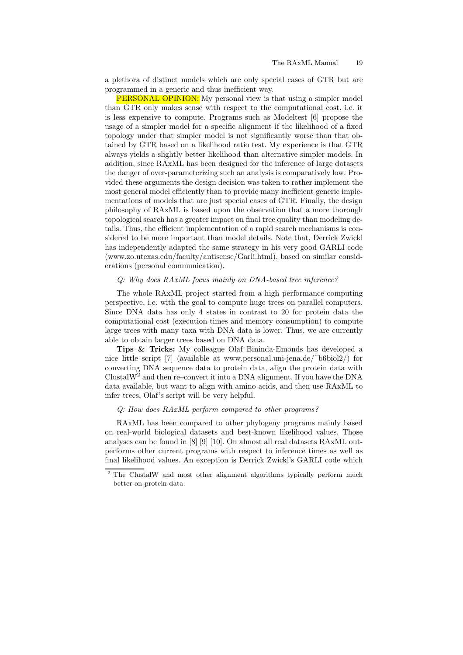a plethora of distinct models which are only special cases of GTR but are programmed in a generic and thus inefficient way.

PERSONAL OPINION: My personal view is that using a simpler model than GTR only makes sense with respect to the computational cost, i.e. it is less expensive to compute. Programs such as Modeltest [6] propose the usage of a simpler model for a specific alignment if the likelihood of a fixed topology under that simpler model is not significantly worse than that obtained by GTR based on a likelihood ratio test. My experience is that GTR always yields a slightly better likelihood than alternative simpler models. In addition, since RAxML has been designed for the inference of large datasets the danger of over-parameterizing such an analysis is comparatively low. Provided these arguments the design decision was taken to rather implement the most general model efficiently than to provide many inefficient generic implementations of models that are just special cases of GTR. Finally, the design philosophy of RAxML is based upon the observation that a more thorough topological search has a greater impact on final tree quality than modeling details. Thus, the efficient implementation of a rapid search mechanisms is considered to be more important than model details. Note that, Derrick Zwickl has independently adapted the same strategy in his very good GARLI code (www.zo.utexas.edu/faculty/antisense/Garli.html), based on similar considerations (personal communication).

# Q: Why does RAxML focus mainly on DNA-based tree inference?

The whole RAxML project started from a high performance computing perspective, i.e. with the goal to compute huge trees on parallel computers. Since DNA data has only 4 states in contrast to 20 for protein data the computational cost (execution times and memory consumption) to compute large trees with many taxa with DNA data is lower. Thus, we are currently able to obtain larger trees based on DNA data.

Tips & Tricks: My colleague Olaf Bininda-Emonds has developed a nice little script [7] (available at www.personal.uni-jena.de/˜b6biol2/) for converting DNA sequence data to protein data, align the protein data with ClustalW<sup>2</sup> and then re–convert it into a DNA alignment. If you have the DNA data available, but want to align with amino acids, and then use RAxML to infer trees, Olaf's script will be very helpful.

#### Q: How does RAxML perform compared to other programs?

RAxML has been compared to other phylogeny programs mainly based on real-world biological datasets and best-known likelihood values. Those analyses can be found in [8] [9] [10]. On almost all real datasets RAxML outperforms other current programs with respect to inference times as well as final likelihood values. An exception is Derrick Zwickl's GARLI code which

<sup>&</sup>lt;sup>2</sup> The ClustalW and most other alignment algorithms typically perform much better on protein data.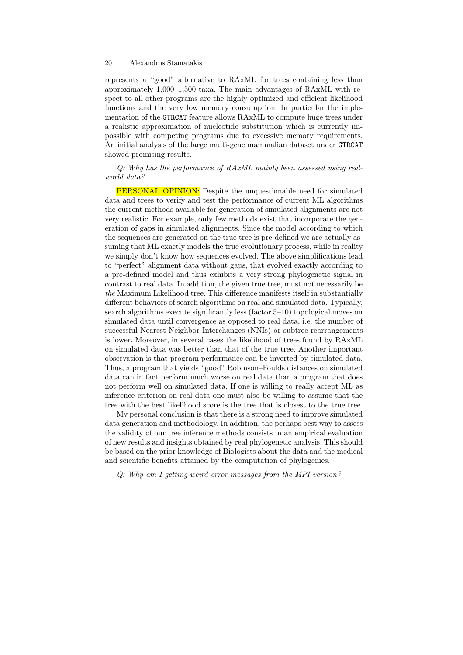represents a "good" alternative to RAxML for trees containing less than approximately 1,000–1,500 taxa. The main advantages of RAxML with respect to all other programs are the highly optimized and efficient likelihood functions and the very low memory consumption. In particular the implementation of the GTRCAT feature allows RAxML to compute huge trees under a realistic approximation of nucleotide substitution which is currently impossible with competing programs due to excessive memory requirements. An initial analysis of the large multi-gene mammalian dataset under GTRCAT showed promising results.

Q: Why has the performance of RAxML mainly been assessed using realworld data?

PERSONAL OPINION: Despite the unquestionable need for simulated data and trees to verify and test the performance of current ML algorithms the current methods available for generation of simulated alignments are not very realistic. For example, only few methods exist that incorporate the generation of gaps in simulated alignments. Since the model according to which the sequences are generated on the true tree is pre-defined we are actually assuming that ML exactly models the true evolutionary process, while in reality we simply don't know how sequences evolved. The above simplifications lead to "perfect" alignment data without gaps, that evolved exactly according to a pre-defined model and thus exhibits a very strong phylogenetic signal in contrast to real data. In addition, the given true tree, must not necessarily be the Maximum Likelihood tree. This difference manifests itself in substantially different behaviors of search algorithms on real and simulated data. Typically, search algorithms execute significantly less (factor 5–10) topological moves on simulated data until convergence as opposed to real data, i.e. the number of successful Nearest Neighbor Interchanges (NNIs) or subtree rearrangements is lower. Moreover, in several cases the likelihood of trees found by RAxML on simulated data was better than that of the true tree. Another important observation is that program performance can be inverted by simulated data. Thus, a program that yields "good" Robinson–Foulds distances on simulated data can in fact perform much worse on real data than a program that does not perform well on simulated data. If one is willing to really accept ML as inference criterion on real data one must also be willing to assume that the tree with the best likelihood score is the tree that is closest to the true tree.

My personal conclusion is that there is a strong need to improve simulated data generation and methodology. In addition, the perhaps best way to assess the validity of our tree inference methods consists in an empirical evaluation of new results and insights obtained by real phylogenetic analysis. This should be based on the prior knowledge of Biologists about the data and the medical and scientific benefits attained by the computation of phylogenies.

Q: Why am I getting weird error messages from the MPI version?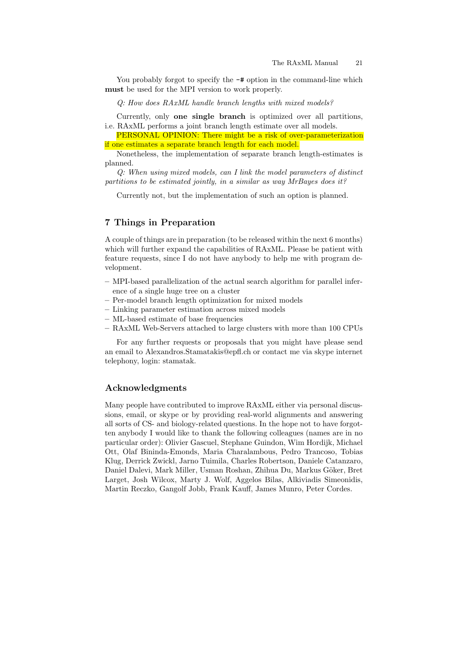You probably forgot to specify the  $-\#$  option in the command-line which must be used for the MPI version to work properly.

Q: How does RAxML handle branch lengths with mixed models?

Currently, only one single branch is optimized over all partitions, i.e. RAxML performs a joint branch length estimate over all models.

PERSONAL OPINION: There might be a risk of over-parameterization if one estimates a separate branch length for each model.

Nonetheless, the implementation of separate branch length-estimates is planned.

Q: When using mixed models, can I link the model parameters of distinct partitions to be estimated jointly, in a similar as way MrBayes does it?

Currently not, but the implementation of such an option is planned.

# 7 Things in Preparation

A couple of things are in preparation (to be released within the next 6 months) which will further expand the capabilities of RAxML. Please be patient with feature requests, since I do not have anybody to help me with program development.

- MPI-based parallelization of the actual search algorithm for parallel inference of a single huge tree on a cluster
- Per-model branch length optimization for mixed models
- Linking parameter estimation across mixed models
- ML-based estimate of base frequencies
- RAxML Web-Servers attached to large clusters with more than 100 CPUs

For any further requests or proposals that you might have please send an email to Alexandros.Stamatakis@epfl.ch or contact me via skype internet telephony, login: stamatak.

## Acknowledgments

Many people have contributed to improve RAxML either via personal discussions, email, or skype or by providing real-world alignments and answering all sorts of CS- and biology-related questions. In the hope not to have forgotten anybody I would like to thank the following colleagues (names are in no particular order): Olivier Gascuel, Stephane Guindon, Wim Hordijk, Michael Ott, Olaf Bininda-Emonds, Maria Charalambous, Pedro Trancoso, Tobias Klug, Derrick Zwickl, Jarno Tuimila, Charles Robertson, Daniele Catanzaro, Daniel Dalevi, Mark Miller, Usman Roshan, Zhihua Du, Markus Göker, Bret Larget, Josh Wilcox, Marty J. Wolf, Aggelos Bilas, Alkiviadis Simeonidis, Martin Reczko, Gangolf Jobb, Frank Kauff, James Munro, Peter Cordes.